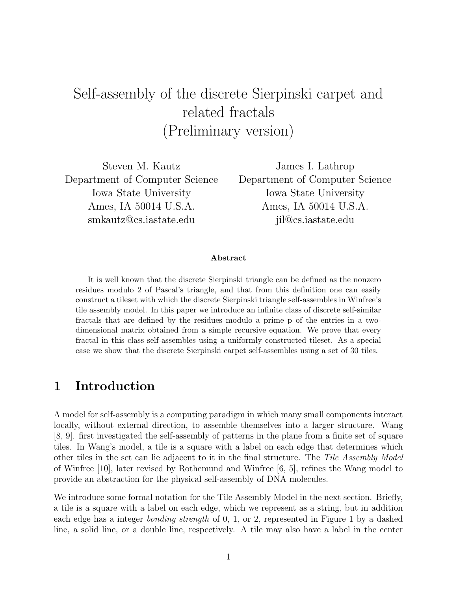# Self-assembly of the discrete Sierpinski carpet and related fractals (Preliminary version)

Steven M. Kautz Department of Computer Science Iowa State University Ames, IA 50014 U.S.A. smkautz@cs.iastate.edu

James I. Lathrop Department of Computer Science Iowa State University Ames, IA 50014 U.S.A. jil@cs.iastate.edu

#### Abstract

It is well known that the discrete Sierpinski triangle can be defined as the nonzero residues modulo 2 of Pascal's triangle, and that from this definition one can easily construct a tileset with which the discrete Sierpinski triangle self-assembles in Winfree's tile assembly model. In this paper we introduce an infinite class of discrete self-similar fractals that are defined by the residues modulo a prime p of the entries in a twodimensional matrix obtained from a simple recursive equation. We prove that every fractal in this class self-assembles using a uniformly constructed tileset. As a special case we show that the discrete Sierpinski carpet self-assembles using a set of 30 tiles.

#### 1 Introduction

A model for self-assembly is a computing paradigm in which many small components interact locally, without external direction, to assemble themselves into a larger structure. Wang [8, 9]. first investigated the self-assembly of patterns in the plane from a finite set of square tiles. In Wang's model, a tile is a square with a label on each edge that determines which other tiles in the set can lie adjacent to it in the final structure. The Tile Assembly Model of Winfree [10], later revised by Rothemund and Winfree [6, 5], refines the Wang model to provide an abstraction for the physical self-assembly of DNA molecules.

We introduce some formal notation for the Tile Assembly Model in the next section. Briefly, a tile is a square with a label on each edge, which we represent as a string, but in addition each edge has a integer bonding strength of 0, 1, or 2, represented in Figure 1 by a dashed line, a solid line, or a double line, respectively. A tile may also have a label in the center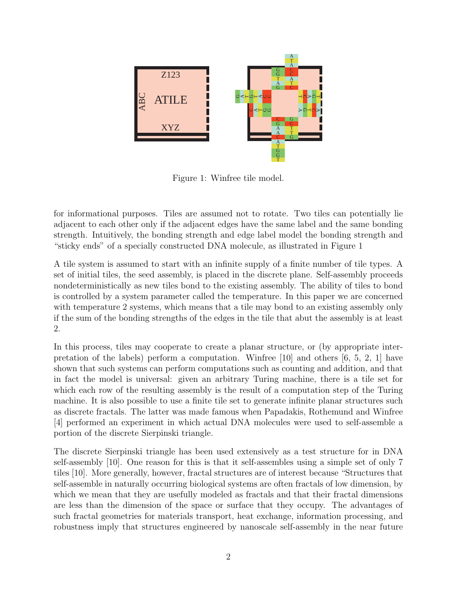

Figure 1: Winfree tile model.

for informational purposes. Tiles are assumed not to rotate. Two tiles can potentially lie adjacent to each other only if the adjacent edges have the same label and the same bonding strength. Intuitively, the bonding strength and edge label model the bonding strength and "sticky ends" of a specially constructed DNA molecule, as illustrated in Figure 1

A tile system is assumed to start with an infinite supply of a finite number of tile types. A set of initial tiles, the seed assembly, is placed in the discrete plane. Self-assembly proceeds nondeterministically as new tiles bond to the existing assembly. The ability of tiles to bond is controlled by a system parameter called the temperature. In this paper we are concerned with temperature 2 systems, which means that a tile may bond to an existing assembly only if the sum of the bonding strengths of the edges in the tile that abut the assembly is at least 2.

In this process, tiles may cooperate to create a planar structure, or (by appropriate interpretation of the labels) perform a computation. Winfree [10] and others [6, 5, 2, 1] have shown that such systems can perform computations such as counting and addition, and that in fact the model is universal: given an arbitrary Turing machine, there is a tile set for which each row of the resulting assembly is the result of a computation step of the Turing machine. It is also possible to use a finite tile set to generate infinite planar structures such as discrete fractals. The latter was made famous when Papadakis, Rothemund and Winfree [4] performed an experiment in which actual DNA molecules were used to self-assemble a portion of the discrete Sierpinski triangle.

The discrete Sierpinski triangle has been used extensively as a test structure for in DNA self-assembly [10]. One reason for this is that it self-assembles using a simple set of only 7 tiles [10]. More generally, however, fractal structures are of interest because "Structures that self-assemble in naturally occurring biological systems are often fractals of low dimension, by which we mean that they are usefully modeled as fractals and that their fractal dimensions are less than the dimension of the space or surface that they occupy. The advantages of such fractal geometries for materials transport, heat exchange, information processing, and robustness imply that structures engineered by nanoscale self-assembly in the near future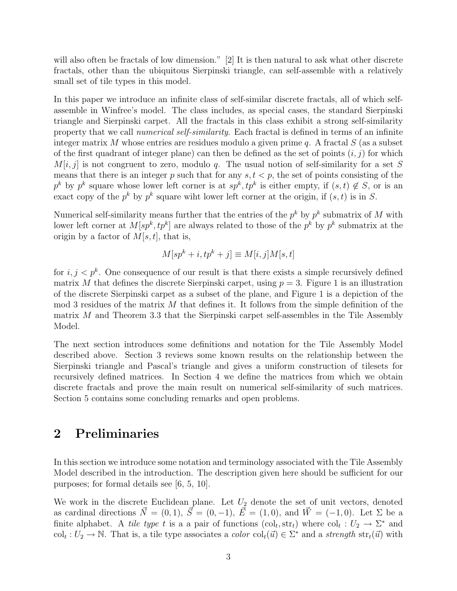will also often be fractals of low dimension." [2] It is then natural to ask what other discrete fractals, other than the ubiquitous Sierpinski triangle, can self-assemble with a relatively small set of tile types in this model.

In this paper we introduce an infinite class of self-similar discrete fractals, all of which selfassemble in Winfree's model. The class includes, as special cases, the standard Sierpinski triangle and Sierpinski carpet. All the fractals in this class exhibit a strong self-similarity property that we call *numerical self-similarity*. Each fractal is defined in terms of an infinite integer matrix M whose entries are residues modulo a given prime q. A fractal  $S$  (as a subset of the first quadrant of integer plane) can then be defined as the set of points  $(i, j)$  for which  $M[i, j]$  is not congruent to zero, modulo q. The usual notion of self-similarity for a set S means that there is an integer p such that for any  $s, t < p$ , the set of points consisting of the  $p^k$  by  $p^k$  square whose lower left corner is at  $sp^k, tp^k$  is either empty, if  $(s,t) \notin S$ , or is an exact copy of the  $p^k$  by  $p^k$  square wiht lower left corner at the origin, if  $(s, t)$  is in S.

Numerical self-similarity means further that the entries of the  $p^k$  by  $p^k$  submatrix of M with lower left corner at  $M[sp^k, tp^k]$  are always related to those of the  $p^k$  by  $p^k$  submatrix at the origin by a factor of  $M[s, t]$ , that is,

$$
M[sp^k + i, tp^k + j] \equiv M[i, j]M[s, t]
$$

for  $i, j < p^k$ . One consequence of our result is that there exists a simple recursively defined matrix M that defines the discrete Sierpinski carpet, using  $p = 3$ . Figure 1 is an illustration of the discrete Sierpinski carpet as a subset of the plane, and Figure 1 is a depiction of the mod 3 residues of the matrix  $M$  that defines it. It follows from the simple definition of the matrix  $M$  and Theorem 3.3 that the Sierpinski carpet self-assembles in the Tile Assembly Model.

The next section introduces some definitions and notation for the Tile Assembly Model described above. Section 3 reviews some known results on the relationship between the Sierpinski triangle and Pascal's triangle and gives a uniform construction of tilesets for recursively defined matrices. In Section 4 we define the matrices from which we obtain discrete fractals and prove the main result on numerical self-similarity of such matrices. Section 5 contains some concluding remarks and open problems.

#### 2 Preliminaries

In this section we introduce some notation and terminology associated with the Tile Assembly Model described in the introduction. The description given here should be sufficient for our purposes; for formal details see [6, 5, 10].

We work in the discrete Euclidean plane. Let  $U_2$  denote the set of unit vectors, denoted as cardinal directions  $\vec{N} = (0, 1), \vec{S} = (0, -1), \vec{E} = (1, 0),$  and  $\vec{W} = (-1, 0)$ . Let  $\Sigma$  be a finite alphabet. A tile type t is a a pair of functions  $(\text{col}_t, \text{str}_t)$  where  $\text{col}_t: U_2 \to \Sigma^*$  and  $col_t: U_2 \to \mathbb{N}$ . That is, a tile type associates a *color*  $col_t(\vec{u}) \in \Sigma^*$  and a *strength*  $str_t(\vec{u})$  with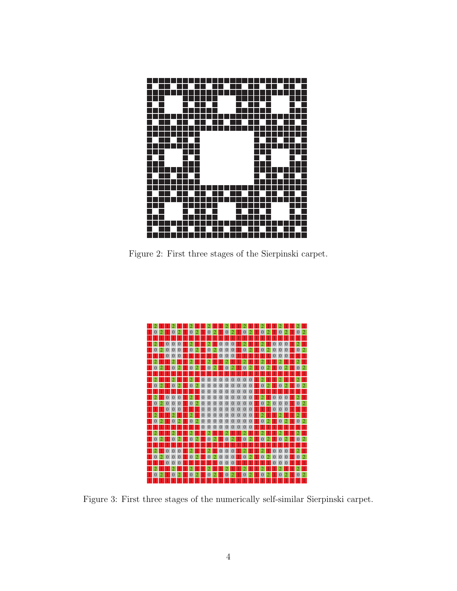

Figure 2: First three stages of the Sierpinski carpet.



Figure 3: First three stages of the numerically self-similar Sierpinski carpet.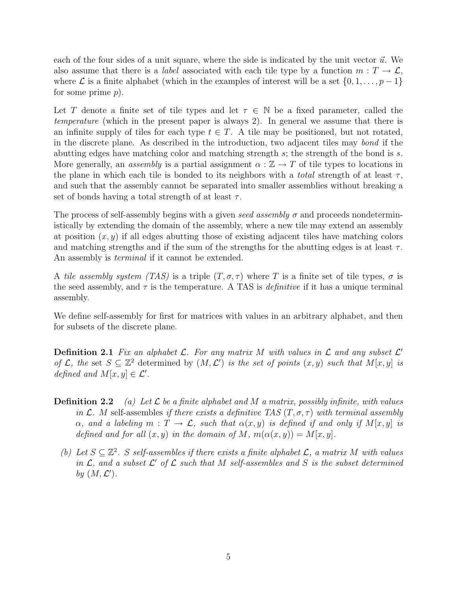each of the four sides of a unit square, where the side is indicated by the unit vector  $\vec{u}$ . We also assume that there is a *label* associated with each tile type by a function  $m : T \to \mathcal{L}$ , where  $\mathcal L$  is a finite alphabet (which in the examples of interest will be a set  $\{0, 1, \ldots, p-1\}$ for some prime p).

Let T denote a finite set of tile types and let  $\tau \in \mathbb{N}$  be a fixed parameter, called the temperature (which in the present paper is always 2). In general we assume that there is an infinite supply of tiles for each type  $t \in T$ . A tile may be positioned, but not rotated, in the discrete plane. As described in the introduction, two adjacent tiles may bond if the abutting edges have matching color and matching strength s; the strength of the bond is s. More generally, an assembly is a partial assignment  $\alpha : \mathbb{Z} \to T$  of tile types to locations in the plane in which each tile is bonded to its neighbors with a *total* strength of at least  $\tau$ , and such that the assembly cannot be separated into smaller assemblies without breaking a set of bonds having a total strength of at least  $\tau$ .

The process of self-assembly begins with a given seed assembly  $\sigma$  and proceeds nondeterministically by extending the domain of the assembly, where a new tile may extend an assembly at position  $(x, y)$  if all edges abutting those of existing adjacent tiles have matching colors and matching strengths and if the sum of the strengths for the abutting edges is at least  $\tau$ . An assembly is *terminal* if it cannot be extended.

A tile assembly system (TAS) is a triple  $(T, \sigma, \tau)$  where T is a finite set of tile types,  $\sigma$  is the seed assembly, and  $\tau$  is the temperature. A TAS is *definitive* if it has a unique terminal assembly.

We define self-assembly for first for matrices with values in an arbitrary alphabet, and then for subsets of the discrete plane.

**Definition 2.1** Fix an alphabet  $\mathcal{L}$ . For any matrix M with values in  $\mathcal{L}$  and any subset  $\mathcal{L}'$ of L, the set  $S \subseteq \mathbb{Z}^2$  determined by  $(M, \mathcal{L}')$  is the set of points  $(x, y)$  such that  $M[x, y]$  is defined and  $M[x, y] \in \mathcal{L}'$ .

- **Definition 2.2** (a) Let  $\mathcal{L}$  be a finite alphabet and M a matrix, possibly infinite, with values in L. M self-assembles if there exists a definitive TAS  $(T, \sigma, \tau)$  with terminal assembly  $\alpha$ , and a labeling  $m: T \to \mathcal{L}$ , such that  $\alpha(x, y)$  is defined if and only if  $M[x, y]$  is defined and for all  $(x, y)$  in the domain of M,  $m(\alpha(x, y)) = M[x, y]$ .
	- (b) Let  $S \subseteq \mathbb{Z}^2$ . S self-assembles if there exists a finite alphabet  $\mathcal{L}$ , a matrix M with values in  $\mathcal{L}$ , and a subset  $\mathcal{L}'$  of  $\mathcal{L}$  such that M self-assembles and S is the subset determined by  $(M, \mathcal{L}')$ .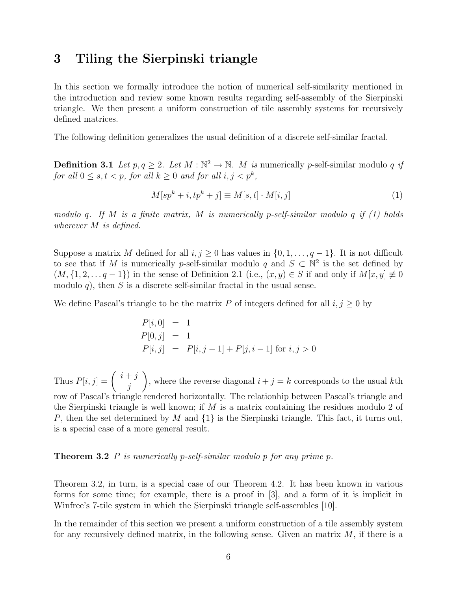### 3 Tiling the Sierpinski triangle

In this section we formally introduce the notion of numerical self-similarity mentioned in the introduction and review some known results regarding self-assembly of the Sierpinski triangle. We then present a uniform construction of tile assembly systems for recursively defined matrices.

The following definition generalizes the usual definition of a discrete self-similar fractal.

**Definition 3.1** Let  $p, q \geq 2$ . Let  $M : \mathbb{N}^2 \to \mathbb{N}$ . M is numerically p-self-similar modulo q if for all  $0 \leq s, t < p$ , for all  $k \geq 0$  and for all  $i, j < p^k$ ,

$$
M[sp^k + i, tp^k + j] \equiv M[s, t] \cdot M[i, j] \tag{1}
$$

modulo q. If M is a finite matrix, M is numerically p-self-similar modulo q if  $(1)$  holds wherever M is defined.

Suppose a matrix M defined for all  $i, j \geq 0$  has values in  $\{0, 1, \ldots, q-1\}$ . It is not difficult to see that if M is numerically p-self-similar modulo q and  $S \subset \mathbb{N}^2$  is the set defined by  $(M, \{1, 2, \ldots, q-1\})$  in the sense of Definition 2.1 (i.e.,  $(x, y) \in S$  if and only if  $M[x, y] \neq 0$ modulo q), then S is a discrete self-similar fractal in the usual sense.

We define Pascal's triangle to be the matrix P of integers defined for all  $i, j \geq 0$  by

$$
P[i, 0] = 1
$$
  
\n
$$
P[0, j] = 1
$$
  
\n
$$
P[i, j] = P[i, j - 1] + P[j, i - 1] \text{ for } i, j > 0
$$

Thus  $P[i, j] = \begin{pmatrix} i+j \\ j \end{pmatrix}$ j  $\setminus$ , where the reverse diagonal  $i + j = k$  corresponds to the usual kth row of Pascal's triangle rendered horizontally. The relationhip between Pascal's triangle and the Sierpinski triangle is well known; if  $M$  is a matrix containing the residues modulo 2 of P, then the set determined by M and  $\{1\}$  is the Sierpinski triangle. This fact, it turns out, is a special case of a more general result.

#### **Theorem 3.2** P is numerically p-self-similar modulo p for any prime p.

Theorem 3.2, in turn, is a special case of our Theorem 4.2. It has been known in various forms for some time; for example, there is a proof in [3], and a form of it is implicit in Winfree's 7-tile system in which the Sierpinski triangle self-assembles [10].

In the remainder of this section we present a uniform construction of a tile assembly system for any recursively defined matrix, in the following sense. Given an matrix  $M$ , if there is a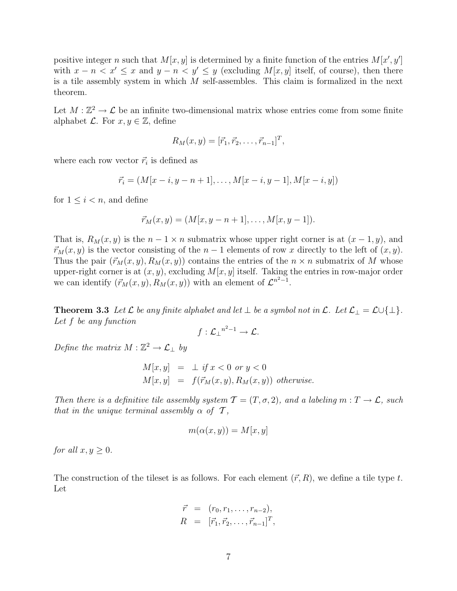positive integer n such that  $M[x, y]$  is determined by a finite function of the entries  $M[x', y']$ with  $x - n < x' \leq x$  and  $y - n < y' \leq y$  (excluding  $M[x, y]$  itself, of course), then there is a tile assembly system in which  $M$  self-assembles. This claim is formalized in the next theorem.

Let  $M : \mathbb{Z}^2 \to \mathcal{L}$  be an infinite two-dimensional matrix whose entries come from some finite alphabet  $\mathcal{L}$ . For  $x, y \in \mathbb{Z}$ , define

$$
R_M(x, y) = [\vec{r}_1, \vec{r}_2, \dots, \vec{r}_{n-1}]^T,
$$

where each row vector  $\vec{r}_i$  is defined as

$$
\vec{r_i} = (M[x - i, y - n + 1], \dots, M[x - i, y - 1], M[x - i, y])
$$

for  $1 \leq i \leq n$ , and define

$$
\vec{r}_M(x,y) = (M[x, y-n+1], \dots, M[x, y-1]).
$$

That is,  $R_M(x, y)$  is the  $n - 1 \times n$  submatrix whose upper right corner is at  $(x - 1, y)$ , and  $\vec{r}_M(x, y)$  is the vector consisting of the  $n - 1$  elements of row x directly to the left of  $(x, y)$ . Thus the pair  $(\vec{r}_M(x, y), R_M(x, y))$  contains the entries of the  $n \times n$  submatrix of M whose upper-right corner is at  $(x, y)$ , excluding  $M[x, y]$  itself. Taking the entries in row-major order we can identify  $(\vec{r}_M(x, y), R_M(x, y))$  with an element of  $\mathcal{L}^{n^2-1}$ .

**Theorem 3.3** Let  $\mathcal L$  be any finite alphabet and let  $\perp$  be a symbol not in  $\mathcal L$ . Let  $\mathcal L_{\perp} = \mathcal L \cup \{\perp\}$ . Let f be any function

$$
f: \mathcal{L}_{\perp}^{n^2-1} \to \mathcal{L}.
$$

Define the matrix  $M : \mathbb{Z}^2 \to \mathcal{L}_{\perp}$  by

$$
M[x, y] = \perp if x < 0 \text{ or } y < 0
$$
  

$$
M[x, y] = f(\vec{r}_M(x, y), R_M(x, y)) \text{ otherwise.}
$$

Then there is a definitive tile assembly system  $\mathcal{T} = (T, \sigma, 2)$ , and a labeling  $m : T \to \mathcal{L}$ , such that in the unique terminal assembly  $\alpha$  of  $\mathcal{T}$ ,

$$
m(\alpha(x, y)) = M[x, y]
$$

for all  $x, y \geq 0$ .

The construction of the tileset is as follows. For each element  $(\vec{r}, R)$ , we define a tile type t. Let

$$
\vec{r} = (r_0, r_1, \dots, r_{n-2}), \nR = [\vec{r}_1, \vec{r}_2, \dots, \vec{r}_{n-1}]^T,
$$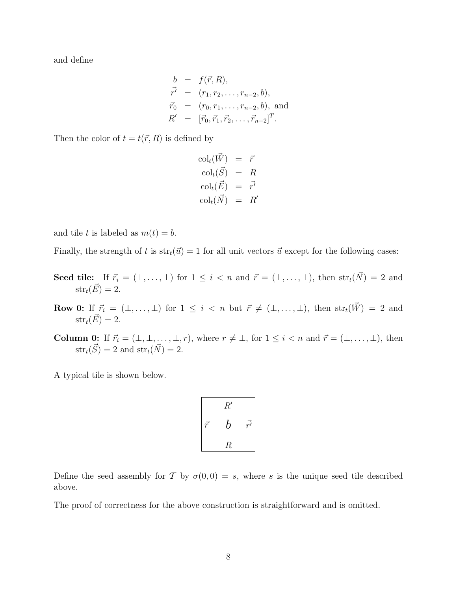and define

$$
b = f(\vec{r}, R),
$$
  
\n
$$
\vec{r'} = (r_1, r_2, \dots, r_{n-2}, b),
$$
  
\n
$$
\vec{r}_0 = (r_0, r_1, \dots, r_{n-2}, b),
$$
 and  
\n
$$
R' = [\vec{r}_0, \vec{r}_1, \vec{r}_2, \dots, \vec{r}_{n-2}]^T.
$$

Then the color of  $t = t(\vec{r}, R)$  is defined by

$$
\begin{array}{rcl}\n\text{col}_t(\vec{W}) &=& \vec{r} \\
\text{col}_t(\vec{S}) &=& R \\
\text{col}_t(\vec{E}) &=& \vec{r'} \\
\text{col}_t(\vec{N}) &=& R'\n\end{array}
$$

and tile t is labeled as  $m(t) = b$ .

Finally, the strength of t is  $str_t(\vec{u}) = 1$  for all unit vectors  $\vec{u}$  except for the following cases:

- Seed tile: If  $\vec{r}_i = (\perp, \ldots, \perp)$  for  $1 \leq i < n$  and  $\vec{r} = (\perp, \ldots, \perp)$ , then  $str_t(\vec{N}) = 2$  and  $str_t(\vec{E}) = 2.$
- Row 0: If  $\vec{r}_i = (\perp, \ldots, \perp)$  for  $1 \leq i < n$  but  $\vec{r} \neq (\perp, \ldots, \perp)$ , then  $str_t(\vec{W}) = 2$  and  $str_t(\vec{E}) = 2.$
- **Column 0:** If  $\vec{r}_i = (\perp, \perp, \ldots, \perp, r)$ , where  $r \neq \perp$ , for  $1 \leq i < n$  and  $\vec{r} = (\perp, \ldots, \perp)$ , then  $str_t(\vec{S}) = 2$  and  $str_t(\vec{N}) = 2$ .

A typical tile is shown below.

$$
\begin{array}{ccc}\n & R' \\
\vec{r} & b & \vec{r}' \\
\hline\n & R\n\end{array}
$$

Define the seed assembly for T by  $\sigma(0,0) = s$ , where s is the unique seed tile described above.

The proof of correctness for the above construction is straightforward and is omitted.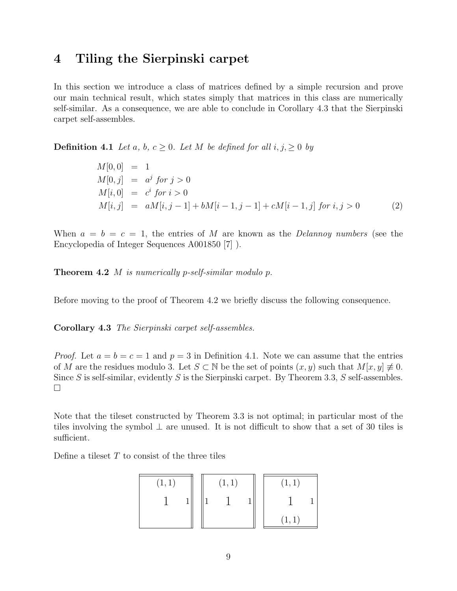### 4 Tiling the Sierpinski carpet

In this section we introduce a class of matrices defined by a simple recursion and prove our main technical result, which states simply that matrices in this class are numerically self-similar. As a consequence, we are able to conclude in Corollary 4.3 that the Sierpinski carpet self-assembles.

**Definition 4.1** Let a, b,  $c \geq 0$ . Let M be defined for all  $i, j, \geq 0$  by

$$
M[0,0] = 1M[0,j] = aj for j > 0M[i,0] = ci for i > 0M[i,j] = aM[i,j-1] + bM[i-1,j-1] + cM[i-1,j] for i, j > 0
$$
 (2)

When  $a = b = c = 1$ , the entries of M are known as the *Delannoy numbers* (see the Encyclopedia of Integer Sequences A001850 [7] ).

**Theorem 4.2** *M* is numerically p-self-similar modulo p.

Before moving to the proof of Theorem 4.2 we briefly discuss the following consequence.

Corollary 4.3 The Sierpinski carpet self-assembles.

*Proof.* Let  $a = b = c = 1$  and  $p = 3$  in Definition 4.1. Note we can assume that the entries of M are the residues modulo 3. Let  $S \subset \mathbb{N}$  be the set of points  $(x, y)$  such that  $M[x, y] \neq 0$ . Since S is self-similar, evidently S is the Sierpinski carpet. By Theorem 3.3, S self-assembles.  $\Box$ 

Note that the tileset constructed by Theorem 3.3 is not optimal; in particular most of the tiles involving the symbol  $\perp$  are unused. It is not difficult to show that a set of 30 tiles is sufficient.

Define a tileset  $T$  to consist of the three tiles

| (1, 1) |  | (1,1) |  | (1,1)  |  |
|--------|--|-------|--|--------|--|
|        |  |       |  |        |  |
|        |  |       |  | (1, 1) |  |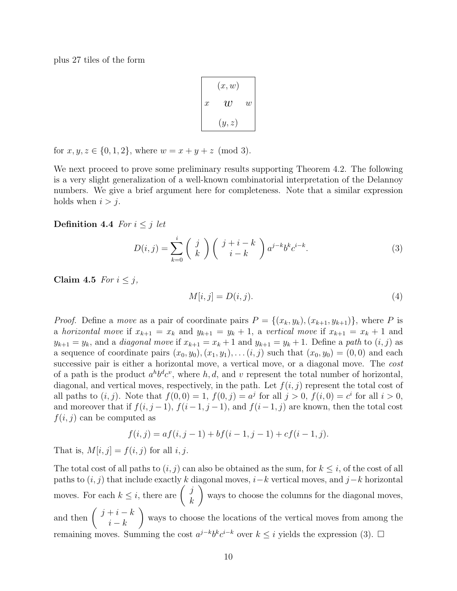plus 27 tiles of the form

| (x, w)        |       |                |  |  |  |  |
|---------------|-------|----------------|--|--|--|--|
| $\mathcal{X}$ | U     | $\overline{w}$ |  |  |  |  |
|               | (y,z) |                |  |  |  |  |

for  $x, y, z \in \{0, 1, 2\}$ , where  $w = x + y + z \pmod{3}$ .

We next proceed to prove some preliminary results supporting Theorem 4.2. The following is a very slight generalization of a well-known combinatorial interpretation of the Delannoy numbers. We give a brief argument here for completeness. Note that a similar expression holds when  $i > j$ .

#### Definition 4.4 For  $i \leq j$  let

$$
D(i,j) = \sum_{k=0}^{i} \binom{j}{k} \binom{j+i-k}{i-k} a^{j-k} b^{k} c^{i-k}.
$$
 (3)

Claim 4.5 For  $i \leq j$ ,

$$
M[i,j] = D(i,j). \tag{4}
$$

*Proof.* Define a move as a pair of coordinate pairs  $P = \{(x_k, y_k), (x_{k+1}, y_{k+1})\}$ , where P is a horizontal move if  $x_{k+1} = x_k$  and  $y_{k+1} = y_k + 1$ , a vertical move if  $x_{k+1} = x_k + 1$  and  $y_{k+1} = y_k$ , and a *diagonal move* if  $x_{k+1} = x_k + 1$  and  $y_{k+1} = y_k + 1$ . Define a path to  $(i, j)$  as a sequence of coordinate pairs  $(x_0, y_0), (x_1, y_1), \ldots (i, j)$  such that  $(x_0, y_0) = (0, 0)$  and each successive pair is either a horizontal move, a vertical move, or a diagonal move. The *cost* of a path is the product  $a^h b^d c^v$ , where h, d, and v represent the total number of horizontal, diagonal, and vertical moves, respectively, in the path. Let  $f(i, j)$  represent the total cost of all paths to  $(i, j)$ . Note that  $f(0, 0) = 1$ ,  $f(0, j) = a^j$  for all  $j > 0$ ,  $f(i, 0) = c^i$  for all  $i > 0$ , and moreover that if  $f(i, j-1)$ ,  $f(i-1, j-1)$ , and  $f(i-1, j)$  are known, then the total cost  $f(i, j)$  can be computed as

$$
f(i, j) = af(i, j - 1) + bf(i - 1, j - 1) + cf(i - 1, j).
$$

That is,  $M[i, j] = f(i, j)$  for all i, j.

The total cost of all paths to  $(i, j)$  can also be obtained as the sum, for  $k \leq i$ , of the cost of all paths to  $(i, j)$  that include exactly k diagonal moves,  $i-k$  vertical moves, and  $j-k$  horizontal moves. For each  $k \leq i$ , there are  $\begin{pmatrix} j \\ i \end{pmatrix}$ k  $\setminus$ ways to choose the columns for the diagonal moves, and then  $\left(\begin{array}{c}j+i-k\\ j\end{array}\right)$  $i - k$  $\setminus$ ways to choose the locations of the vertical moves from among the remaining moves. Summing the cost  $a^{j-k}b^kc^{i-k}$  over  $k \leq i$  yields the expression (3).  $\Box$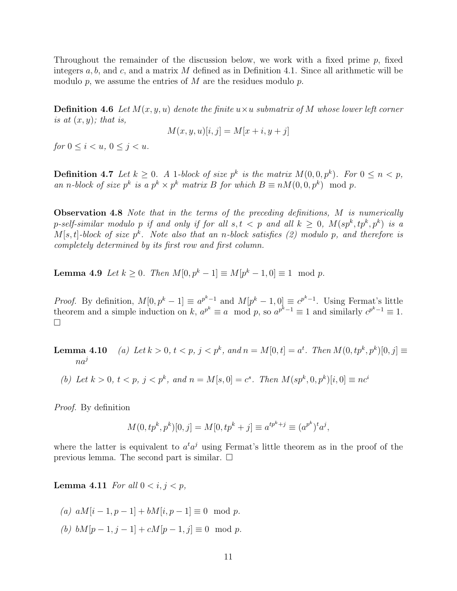Throughout the remainder of the discussion below, we work with a fixed prime  $p$ , fixed integers  $a, b$ , and c, and a matrix M defined as in Definition 4.1. Since all arithmetic will be modulo  $p$ , we assume the entries of  $M$  are the residues modulo  $p$ .

**Definition 4.6** Let  $M(x, y, u)$  denote the finite  $u \times u$  submatrix of M whose lower left corner is at  $(x, y)$ ; that is,

$$
M(x, y, u)[i, j] = M[x + i, y + j]
$$

for  $0 \le i \le u, \ 0 \le j \le u$ .

**Definition 4.7** Let  $k \geq 0$ . A 1-block of size  $p^k$  is the matrix  $M(0,0,p^k)$ . For  $0 \leq n < p$ , an n-block of size  $p^k$  is a  $p^k \times p^k$  matrix B for which  $B \equiv n M(0, 0, p^k) \mod p$ .

**Observation 4.8** Note that in the terms of the preceding definitions, M is numerically p-self-similar modulo p if and only if for all  $s,t < p$  and all  $k \geq 0$ ,  $M(sp^k, tp^k, p^k)$  is a  $M[s, t]$ -block of size  $p^k$ . Note also that an n-block satisfies (2) modulo p, and therefore is completely determined by its first row and first column.

**Lemma 4.9** Let  $k \ge 0$ . Then  $M[0, p^k - 1] \equiv M[p^k - 1, 0] \equiv 1 \mod p$ .

*Proof.* By definition,  $M[0, p^k - 1] \equiv a^{p^k - 1}$  and  $M[p^k - 1, 0] \equiv c^{p^k - 1}$ . Using Fermat's little theorem and a simple induction on k,  $a^{p^k} \equiv a \mod p$ , so  $a^{p^k-1} \equiv 1$  and similarly  $c^{p^k-1} \equiv 1$ .  $\Box$ 

**Lemma 4.10** (a) Let  $k > 0$ ,  $t < p$ ,  $j < p^k$ , and  $n = M[0, t] = a^t$ . Then  $M(0, tp^k, p^k)[0, j] \equiv$  $na^j$ 

(b) Let  $k > 0$ ,  $t < p$ ,  $j < p^k$ , and  $n = M[s, 0] = c^s$ . Then  $M(sp^k, 0, p^k)[i, 0] \equiv nc^i$ 

Proof. By definition

$$
M(0, tp^k, p^k)[0, j] = M[0, tp^k + j] \equiv a^{tp^k + j} \equiv (a^{p^k})^t a^j,
$$

where the latter is equivalent to  $a^t a^j$  using Fermat's little theorem as in the proof of the previous lemma. The second part is similar.  $\square$ 

**Lemma 4.11** For all  $0 < i, j < p$ ,

- (a)  $aM[i-1, p-1] + bM[i, p-1] \equiv 0 \mod p$ .
- (b)  $bM[p-1, j-1] + cM[p-1, j] \equiv 0 \mod p$ .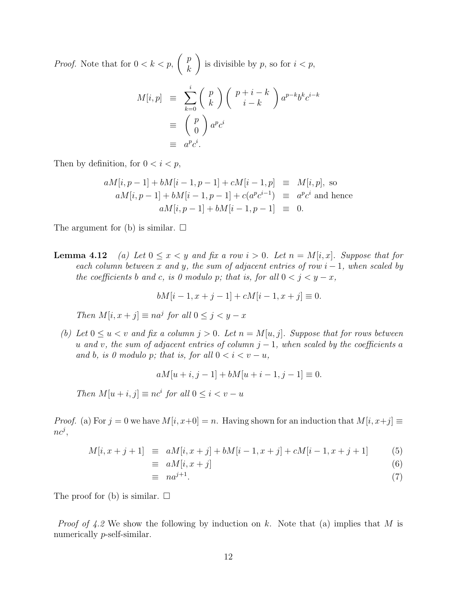*Proof.* Note that for  $0 < k < p$ ,  $\int p$ k  $\setminus$ is divisible by  $p$ , so for  $i < p$ ,

$$
M[i,p] \equiv \sum_{k=0}^{i} {p \choose k} {p+i-k \choose i-k} a^{p-k} b^k c^{i-k}
$$

$$
\equiv {p \choose 0} a^p c^i
$$

$$
\equiv a^p c^i.
$$

Then by definition, for  $0 < i < p$ ,

$$
aM[i, p-1] + bM[i-1, p-1] + cM[i-1, p] \equiv M[i, p], \text{ so}
$$
  
\n
$$
aM[i, p-1] + bM[i-1, p-1] + c(a^{p}c^{i-1}) \equiv a^{p}c^{i} \text{ and hence}
$$
  
\n
$$
aM[i, p-1] + bM[i-1, p-1] \equiv 0.
$$

The argument for (b) is similar.  $\square$ 

**Lemma 4.12** (a) Let  $0 \le x < y$  and fix a row  $i > 0$ . Let  $n = M[i, x]$ . Suppose that for each column between x and y, the sum of adjacent entries of row  $i - 1$ , when scaled by the coefficients b and c, is 0 modulo p; that is, for all  $0 < j < y - x$ ,

$$
bM[i-1, x+j-1] + cM[i-1, x+j] \equiv 0.
$$

Then  $M[i, x + j] \equiv na^j$  for all  $0 \le j < y - x$ 

(b) Let  $0 \le u < v$  and fix a column  $j > 0$ . Let  $n = M[u, j]$ . Suppose that for rows between u and v, the sum of adjacent entries of column  $j-1$ , when scaled by the coefficients a and b, is 0 modulo p; that is, for all  $0 < i < v - u$ ,

$$
aM[u+i, j-1] + bM[u+i-1, j-1] \equiv 0.
$$

Then  $M[u + i, j] \equiv nc^i$  for all  $0 \le i < v - u$ 

*Proof.* (a) For  $j = 0$  we have  $M[i, x+0] = n$ . Having shown for an induction that  $M[i, x+j] \equiv$  $nc^j$ ,

$$
M[i, x + j + 1] \equiv aM[i, x + j] + bM[i - 1, x + j] + cM[i - 1, x + j + 1]
$$
 (5)

$$
\equiv aM[i, x+j] \tag{6}
$$

$$
\equiv na^{j+1}.\tag{7}
$$

The proof for (b) is similar.  $\square$ 

*Proof of 4.2* We show the following by induction on k. Note that (a) implies that M is numerically *p*-self-similar.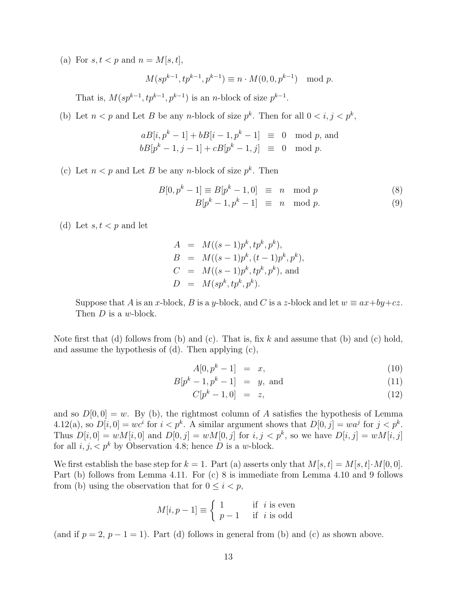(a) For  $s, t < p$  and  $n = M[s, t],$ 

$$
M(sp^{k-1}, tp^{k-1}, p^{k-1}) \equiv n \cdot M(0, 0, p^{k-1}) \mod p.
$$

That is,  $M(sp^{k-1}, tp^{k-1}, p^{k-1})$  is an *n*-block of size  $p^{k-1}$ .

(b) Let  $n < p$  and Let B be any n-block of size  $p^k$ . Then for all  $0 < i, j < p^k$ ,

$$
aB[i, pk - 1] + bB[i - 1, pk - 1] \equiv 0 \mod p, \text{ and}
$$
  

$$
bB[pk - 1, j - 1] + cB[pk - 1, j] \equiv 0 \mod p.
$$

(c) Let  $n < p$  and Let B be any n-block of size  $p^k$ . Then

$$
B[0, pk - 1] \equiv B[pk - 1, 0] \equiv n \mod p \tag{8}
$$

$$
B[p^k - 1, p^k - 1] \equiv n \mod p. \tag{9}
$$

- (d) Let  $s, t < p$  and let
- $A = M((s-1)p^k, tp^k, p^k),$  $B = M((s-1)p^k, (t-1)p^k, p^k),$  $C = M((s-1)p^k, tp^k, p^k)$ , and  $D = M(sp^k, tp^k, p^k).$

Suppose that A is an x-block, B is a y-block, and C is a z-block and let  $w \equiv ax + by + cz$ . Then *D* is a *w*-block.

Note first that (d) follows from (b) and (c). That is, fix  $k$  and assume that (b) and (c) hold, and assume the hypothesis of (d). Then applying (c),

$$
A[0, p^k - 1] = x,\t(10)
$$

$$
B[p^k - 1, p^k - 1] = y, \text{ and } (11)
$$

$$
C[p^k - 1, 0] = z,
$$
\n(12)

and so  $D[0,0] = w$ . By (b), the rightmost column of A satisfies the hypothesis of Lemma 4.12(a), so  $D[i, 0] = wc^i$  for  $i < p^k$ . A similar argument shows that  $D[0, j] = wa^j$  for  $j < p^k$ . Thus  $D[i, 0] = wM[i, 0]$  and  $D[0, j] = wM[0, j]$  for  $i, j < p^k$ , so we have  $D[i, j] = wM[i, j]$ for all  $i, j, \langle p^k \rangle$  by Observation 4.8; hence D is a w-block.

We first establish the base step for  $k = 1$ . Part (a) asserts only that  $M[s, t] = M[s, t] \cdot M[0, 0]$ . Part (b) follows from Lemma 4.11. For (c) 8 is immediate from Lemma 4.10 and 9 follows from (b) using the observation that for  $0 \leq i \leq p$ ,

$$
M[i, p-1] \equiv \begin{cases} 1 & \text{if } i \text{ is even} \\ p-1 & \text{if } i \text{ is odd} \end{cases}
$$

(and if  $p = 2$ ,  $p - 1 = 1$ ). Part (d) follows in general from (b) and (c) as shown above.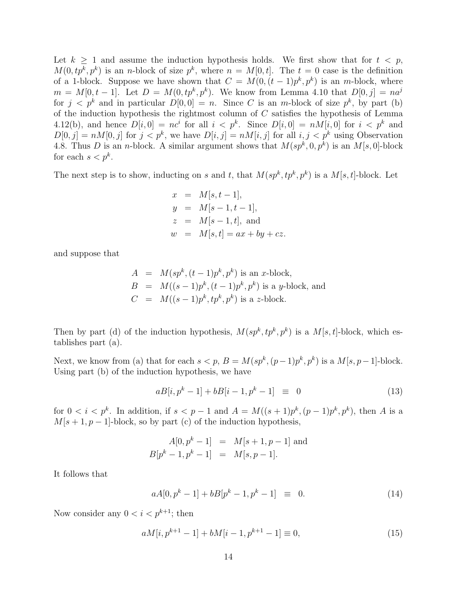Let  $k \geq 1$  and assume the induction hypothesis holds. We first show that for  $t \leq p$ ,  $M(0, tp^k, p^k)$  is an *n*-block of size  $p^k$ , where  $n = M[0, t]$ . The  $t = 0$  case is the definition of a 1-block. Suppose we have shown that  $C = M(0, (t-1)p^k, p^k)$  is an m-block, where  $m = M[0, t-1]$ . Let  $D = M(0, tp^k, p^k)$ . We know from Lemma 4.10 that  $D[0, j] = na^j$ for  $j < p^k$  and in particular  $D[0,0] = n$ . Since C is an m-block of size  $p^k$ , by part (b) of the induction hypothesis the rightmost column of  $C$  satisfies the hypothesis of Lemma 4.12(b), and hence  $D[i, 0] = nc^i$  for all  $i < p^k$ . Since  $D[i, 0] = nM[i, 0]$  for  $i < p^k$  and  $D[0, j] = nM[0, j]$  for  $j < p^k$ , we have  $D[i, j] = nM[i, j]$  for all  $i, j < p^k$  using Observation 4.8. Thus D is an *n*-block. A similar argument shows that  $M(sp^k, 0, p^k)$  is an  $M[s, 0]$ -block for each  $s < p^k$ .

The next step is to show, inducting on s and t, that  $M(sp^k, tp^k, p^k)$  is a  $M[s, t]$ -block. Let

$$
x = M[s, t-1],
$$
  
\n
$$
y = M[s-1, t-1],
$$
  
\n
$$
z = M[s-1, t],
$$
 and  
\n
$$
w = M[s, t] = ax + by + cz.
$$

and suppose that

$$
A = M(sp^k, (t-1)p^k, p^k)
$$
 is an *x*-block,  
\n
$$
B = M((s-1)p^k, (t-1)p^k, p^k)
$$
 is a *y*-block, and  
\n
$$
C = M((s-1)p^k, tp^k, p^k)
$$
 is a *z*-block.

Then by part (d) of the induction hypothesis,  $M(sp^k, tp^k, p^k)$  is a  $M[s, t]$ -block, which establishes part (a).

Next, we know from (a) that for each  $s < p$ ,  $B = M(sp^k, (p-1)p^k, p^k)$  is a  $M[s, p-1]$ -block. Using part (b) of the induction hypothesis, we have

$$
aB[i, pk - 1] + bB[i - 1, pk - 1] \equiv 0 \tag{13}
$$

for  $0 < i < p^k$ . In addition, if  $s < p-1$  and  $A = M((s+1)p^k, (p-1)p^k, p^k)$ , then A is a  $M[s + 1, p - 1]$ -block, so by part (c) of the induction hypothesis,

$$
A[0, pk - 1] = M[s + 1, p - 1] \text{ and}
$$
  

$$
B[pk - 1, pk - 1] = M[s, p - 1].
$$

It follows that

$$
aA[0, pk - 1] + bB[pk - 1, pk - 1] \equiv 0.
$$
 (14)

Now consider any  $0 < i < p^{k+1}$ ; then

$$
aM[i, p^{k+1} - 1] + bM[i - 1, p^{k+1} - 1] \equiv 0,\t\t(15)
$$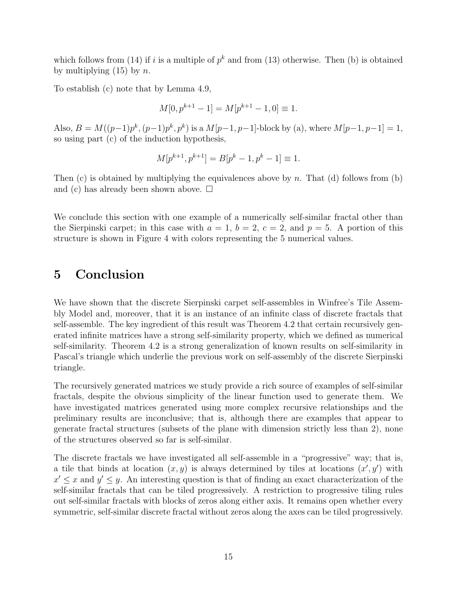which follows from (14) if i is a multiple of  $p^k$  and from (13) otherwise. Then (b) is obtained by multiplying  $(15)$  by n.

To establish (c) note that by Lemma 4.9,

$$
M[0, p^{k+1} - 1] = M[p^{k+1} - 1, 0] \equiv 1.
$$

Also,  $B = M((p-1)p^k, (p-1)p^k, p^k)$  is a  $M[p-1, p-1]$ -block by (a), where  $M[p-1, p-1] = 1$ , so using part (c) of the induction hypothesis,

$$
M[p^{k+1}, p^{k+1}] = B[p^k - 1, p^k - 1] \equiv 1.
$$

Then  $(c)$  is obtained by multiplying the equivalences above by n. That  $(d)$  follows from  $(b)$ and (c) has already been shown above.  $\square$ 

We conclude this section with one example of a numerically self-similar fractal other than the Sierpinski carpet; in this case with  $a = 1$ ,  $b = 2$ ,  $c = 2$ , and  $p = 5$ . A portion of this structure is shown in Figure 4 with colors representing the 5 numerical values.

#### 5 Conclusion

We have shown that the discrete Sierpinski carpet self-assembles in Winfree's Tile Assembly Model and, moreover, that it is an instance of an infinite class of discrete fractals that self-assemble. The key ingredient of this result was Theorem 4.2 that certain recursively generated infinite matrices have a strong self-similarity property, which we defined as numerical self-similarity. Theorem 4.2 is a strong generalization of known results on self-similarity in Pascal's triangle which underlie the previous work on self-assembly of the discrete Sierpinski triangle.

The recursively generated matrices we study provide a rich source of examples of self-similar fractals, despite the obvious simplicity of the linear function used to generate them. We have investigated matrices generated using more complex recursive relationships and the preliminary results are inconclusive; that is, although there are examples that appear to generate fractal structures (subsets of the plane with dimension strictly less than 2), none of the structures observed so far is self-similar.

The discrete fractals we have investigated all self-assemble in a "progressive" way; that is, a tile that binds at location  $(x, y)$  is always determined by tiles at locations  $(x', y')$  with  $x' \leq x$  and  $y' \leq y$ . An interesting question is that of finding an exact characterization of the self-similar fractals that can be tiled progressively. A restriction to progressive tiling rules out self-similar fractals with blocks of zeros along either axis. It remains open whether every symmetric, self-similar discrete fractal without zeros along the axes can be tiled progressively.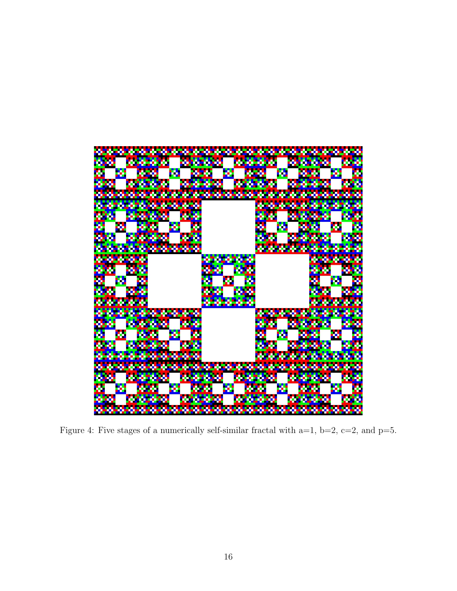

Figure 4: Five stages of a numerically self-similar fractal with a=1, b=2, c=2, and p=5.